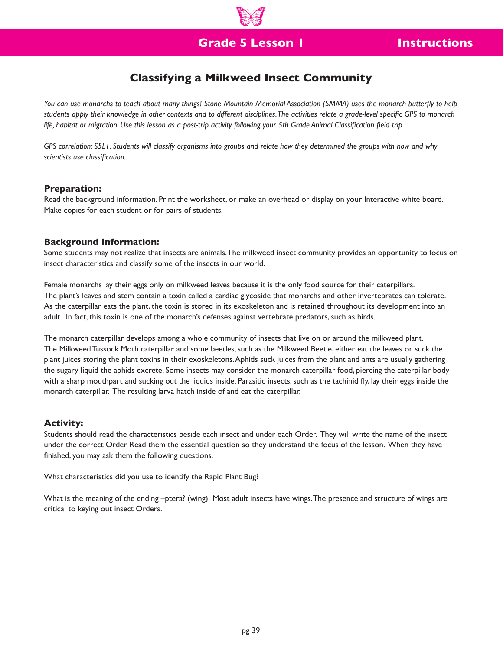# **Classifying a Milkweed Insect Community**

*You can use monarchs to teach about many things! Stone Mountain Memorial Association (SMMA) uses the monarch butterfly to help students apply their knowledge in other contexts and to different disciplines. The activities relate a grade-level specific GPS to monarch life, habitat or migration. Use this lesson as a post-trip activity following your 5th Grade Animal Classification field trip.*

*GPS correlation: S5L1. Students will classify organisms into groups and relate how they determined the groups with how and why scientists use classification.*

## **Preparation:**

Read the background information. Print the worksheet, or make an overhead or display on your Interactive white board. Make copies for each student or for pairs of students.

## **Background Information:**

Some students may not realize that insects are animals. The milkweed insect community provides an opportunity to focus on insect characteristics and classify some of the insects in our world.

Female monarchs lay their eggs only on milkweed leaves because it is the only food source for their caterpillars. The plant's leaves and stem contain a toxin called a cardiac glycoside that monarchs and other invertebrates can tolerate. As the caterpillar eats the plant, the toxin is stored in its exoskeleton and is retained throughout its development into an adult. In fact, this toxin is one of the monarch's defenses against vertebrate predators, such as birds.

The monarch caterpillar develops among a whole community of insects that live on or around the milkweed plant. The Milkweed Tussock Moth caterpillar and some beetles, such as the Milkweed Beetle, either eat the leaves or suck the plant juices storing the plant toxins in their exoskeletons. Aphids suck juices from the plant and ants are usually gathering the sugary liquid the aphids excrete. Some insects may consider the monarch caterpillar food, piercing the caterpillar body with a sharp mouthpart and sucking out the liquids inside. Parasitic insects, such as the tachinid fly, lay their eggs inside the monarch caterpillar. The resulting larva hatch inside of and eat the caterpillar.

### **Activity:**

Students should read the characteristics beside each insect and under each Order. They will write the name of the insect under the correct Order. Read them the essential question so they understand the focus of the lesson. When they have finished, you may ask them the following questions.

What characteristics did you use to identify the Rapid Plant Bug?

What is the meaning of the ending –ptera? (wing) Most adult insects have wings. The presence and structure of wings are critical to keying out insect Orders.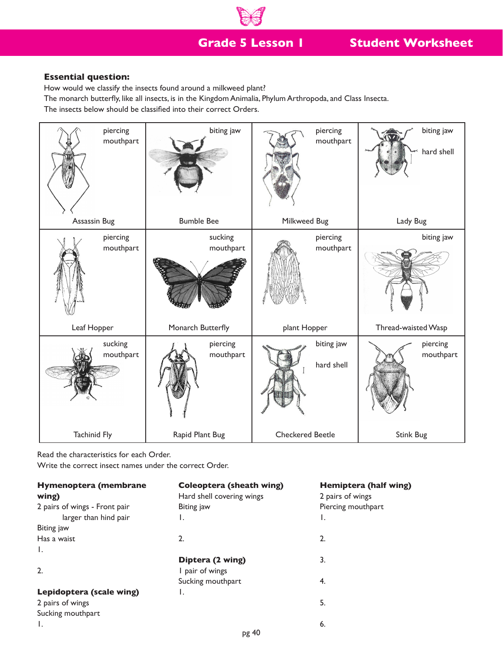**Grade 5 Lesson 1**

# **Student Worksheet**

## **Essential question:**

How would we classify the insects found around a milkweed plant?

The monarch butterfly, like all insects, is in the Kingdom Animalia, Phylum Arthropoda, and Class Insecta.

The insects below should be classified into their correct Orders.



Read the characteristics for each Order.

Write the correct insect names under the correct Order.

| Hymenoptera (membrane         | <b>Coleoptera (sheath wing)</b> | Hemiptera (half wing) |
|-------------------------------|---------------------------------|-----------------------|
| wing)                         | Hard shell covering wings       | 2 pairs of wings      |
| 2 pairs of wings - Front pair | Biting jaw                      | Piercing mouthpart    |
| larger than hind pair         | ι.                              | Ι.                    |
| Biting jaw                    |                                 |                       |
| Has a waist                   | 2.                              | 2.                    |
| Ι.                            |                                 |                       |
|                               | Diptera (2 wing)                | 3.                    |
| 2.                            | pair of wings                   |                       |
|                               | Sucking mouthpart               | 4.                    |
| Lepidoptera (scale wing)      | ι.                              |                       |
| 2 pairs of wings              |                                 | 5.                    |
| Sucking mouthpart             |                                 |                       |
| Τ.                            |                                 | 6.                    |
|                               | pg 40                           |                       |